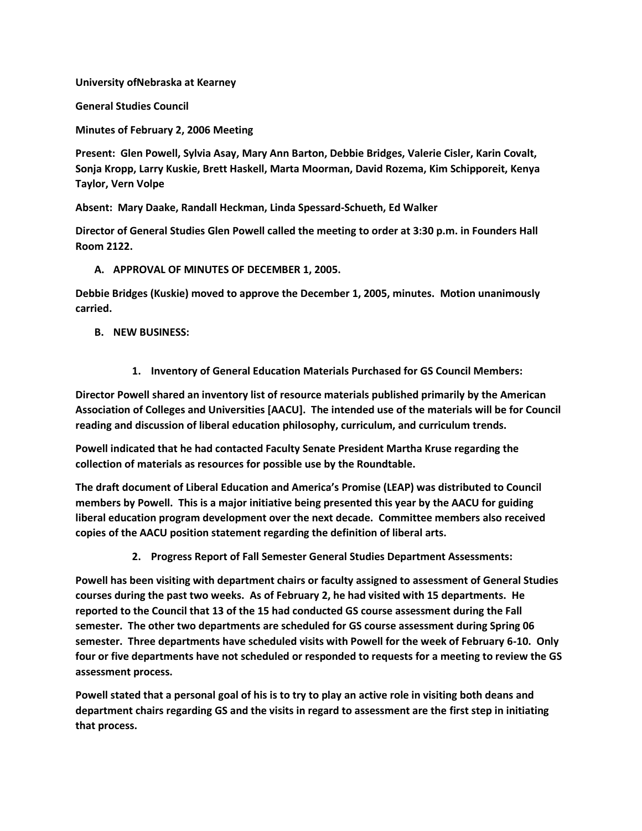**University ofNebraska at Kearney**

**General Studies Council**

**Minutes of February 2, 2006 Meeting**

**Present: Glen Powell, Sylvia Asay, Mary Ann Barton, Debbie Bridges, Valerie Cisler, Karin Covalt, Sonja Kropp, Larry Kuskie, Brett Haskell, Marta Moorman, David Rozema, Kim Schipporeit, Kenya Taylor, Vern Volpe**

**Absent: Mary Daake, Randall Heckman, Linda Spessard-Schueth, Ed Walker** 

**Director of General Studies Glen Powell called the meeting to order at 3:30 p.m. in Founders Hall Room 2122.**

## **A. APPROVAL OF MINUTES OF DECEMBER 1, 2005.**

**Debbie Bridges (Kuskie) moved to approve the December 1, 2005, minutes. Motion unanimously carried.**

## **B. NEW BUSINESS:**

**1. Inventory of General Education Materials Purchased for GS Council Members:**

**Director Powell shared an inventory list of resource materials published primarily by the American Association of Colleges and Universities [AACU]. The intended use of the materials will be for Council reading and discussion of liberal education philosophy, curriculum, and curriculum trends.**

**Powell indicated that he had contacted Faculty Senate President Martha Kruse regarding the collection of materials as resources for possible use by the Roundtable.**

**The draft document of Liberal Education and America's Promise (LEAP) was distributed to Council members by Powell. This is a major initiative being presented this year by the AACU for guiding liberal education program development over the next decade. Committee members also received copies of the AACU position statement regarding the definition of liberal arts.**

**2. Progress Report of Fall Semester General Studies Department Assessments:**

**Powell has been visiting with department chairs or faculty assigned to assessment of General Studies courses during the past two weeks. As of February 2, he had visited with 15 departments. He reported to the Council that 13 of the 15 had conducted GS course assessment during the Fall semester. The other two departments are scheduled for GS course assessment during Spring 06 semester. Three departments have scheduled visits with Powell for the week of February 6-10. Only four or five departments have not scheduled or responded to requests for a meeting to review the GS assessment process.**

**Powell stated that a personal goal of his is to try to play an active role in visiting both deans and department chairs regarding GS and the visits in regard to assessment are the first step in initiating that process.**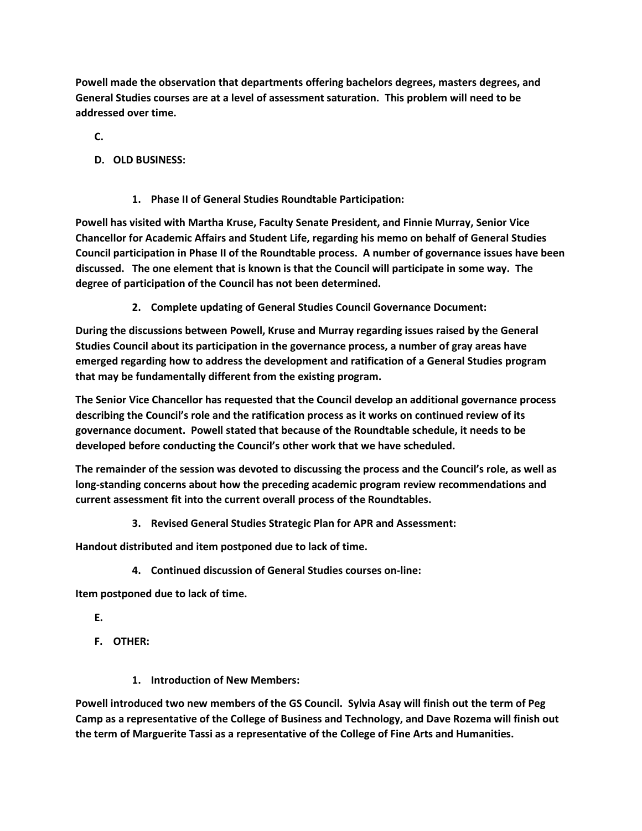**Powell made the observation that departments offering bachelors degrees, masters degrees, and General Studies courses are at a level of assessment saturation. This problem will need to be addressed over time.**

**C.**

- **D. OLD BUSINESS:**
	- **1. Phase II of General Studies Roundtable Participation:**

**Powell has visited with Martha Kruse, Faculty Senate President, and Finnie Murray, Senior Vice Chancellor for Academic Affairs and Student Life, regarding his memo on behalf of General Studies Council participation in Phase II of the Roundtable process. A number of governance issues have been discussed. The one element that is known is that the Council will participate in some way. The degree of participation of the Council has not been determined.**

**2. Complete updating of General Studies Council Governance Document:**

**During the discussions between Powell, Kruse and Murray regarding issues raised by the General Studies Council about its participation in the governance process, a number of gray areas have emerged regarding how to address the development and ratification of a General Studies program that may be fundamentally different from the existing program.**

**The Senior Vice Chancellor has requested that the Council develop an additional governance process describing the Council's role and the ratification process as it works on continued review of its governance document. Powell stated that because of the Roundtable schedule, it needs to be developed before conducting the Council's other work that we have scheduled.**

**The remainder of the session was devoted to discussing the process and the Council's role, as well as long-standing concerns about how the preceding academic program review recommendations and current assessment fit into the current overall process of the Roundtables.**

**3. Revised General Studies Strategic Plan for APR and Assessment:**

**Handout distributed and item postponed due to lack of time.**

**4. Continued discussion of General Studies courses on-line:**

**Item postponed due to lack of time.**

**E.**

- **F. OTHER:**
	- **1. Introduction of New Members:**

**Powell introduced two new members of the GS Council. Sylvia Asay will finish out the term of Peg Camp as a representative of the College of Business and Technology, and Dave Rozema will finish out the term of Marguerite Tassi as a representative of the College of Fine Arts and Humanities.**